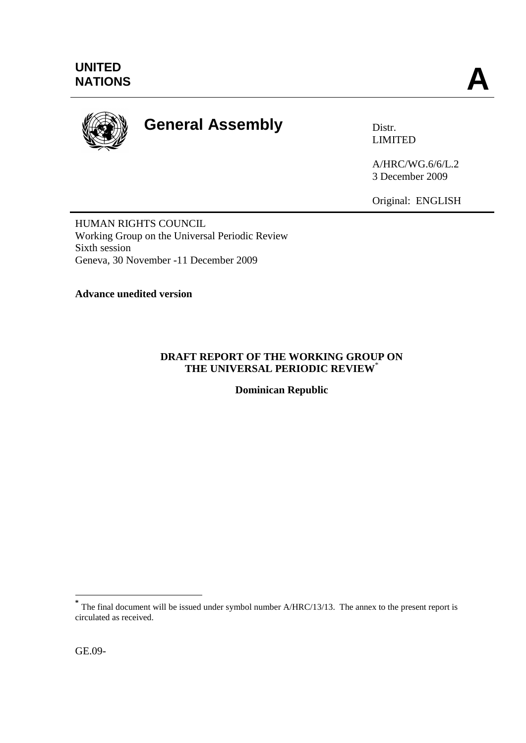

# **General Assembly** Distr.

LIMITED

A/HRC/WG.6/6/L.2 3 December 2009

Original: ENGLISH

HUMAN RIGHTS COUNCIL Working Group on the Universal Periodic Review Sixth session Geneva, 30 November -11 December 2009

**Advance unedited version** 

### **DRAFT REPORT OF THE WORKING GROUP ON THE UNIVERSAL PERIODIC REVIEW**\*

**Dominican Republic**

1

**<sup>\*</sup>** The final document will be issued under symbol number A/HRC/13/13. The annex to the present report is circulated as received.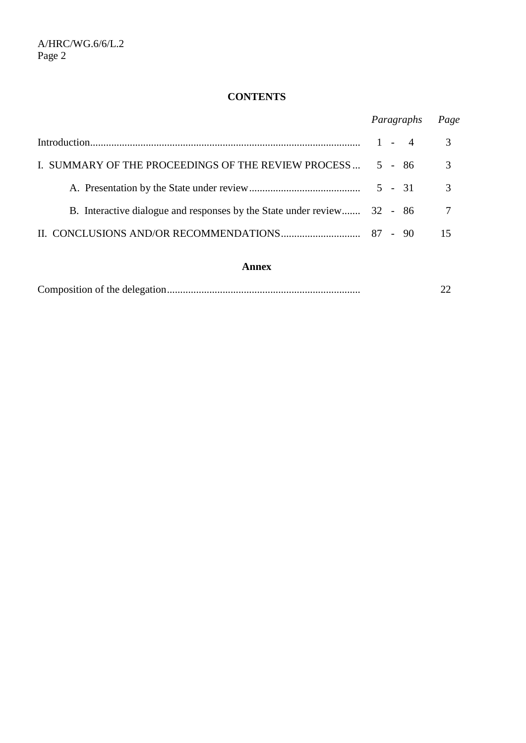# **CONTENTS**

|                                                                         | Paragraphs | Page |
|-------------------------------------------------------------------------|------------|------|
|                                                                         | $1 - 4$    | 3    |
| I. SUMMARY OF THE PROCEEDINGS OF THE REVIEW PROCESS                     | 5 - 86     | 3    |
|                                                                         |            | 3    |
| B. Interactive dialogue and responses by the State under review 32 - 86 |            | -7   |
|                                                                         |            | 15   |

#### **Annex**

|--|--|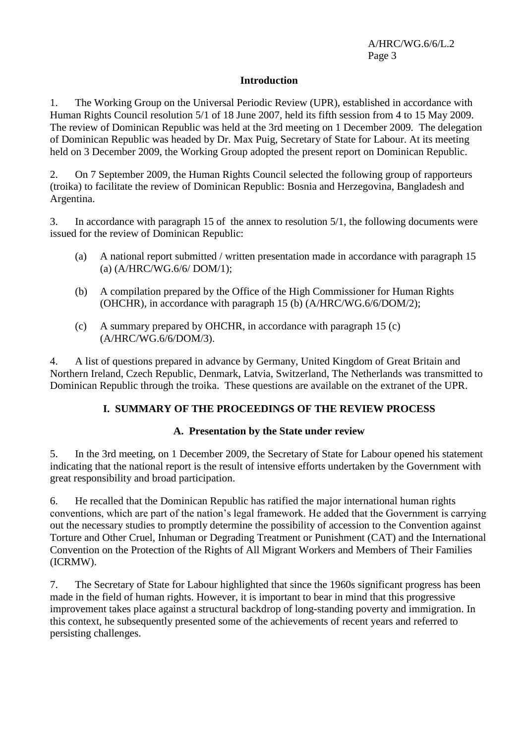#### **Introduction**

1. The Working Group on the Universal Periodic Review (UPR), established in accordance with Human Rights Council resolution 5/1 of 18 June 2007, held its fifth session from 4 to 15 May 2009. The review of Dominican Republic was held at the 3rd meeting on 1 December 2009. The delegation of Dominican Republic was headed by Dr. Max Puig, Secretary of State for Labour. At its meeting held on 3 December 2009, the Working Group adopted the present report on Dominican Republic.

2. On 7 September 2009, the Human Rights Council selected the following group of rapporteurs (troika) to facilitate the review of Dominican Republic: Bosnia and Herzegovina, Bangladesh and Argentina.

3. In accordance with paragraph 15 of the annex to resolution 5/1, the following documents were issued for the review of Dominican Republic:

- (a) A national report submitted / written presentation made in accordance with paragraph 15 (a) (A/HRC/WG.6/6/ DOM/1);
- (b) A compilation prepared by the Office of the High Commissioner for Human Rights (OHCHR), in accordance with paragraph 15 (b) (A/HRC/WG.6/6/DOM/2);
- (c) A summary prepared by OHCHR, in accordance with paragraph  $15$  (c) (A/HRC/WG.6/6/DOM/3).

4. A list of questions prepared in advance by Germany, United Kingdom of Great Britain and Northern Ireland, Czech Republic, Denmark, Latvia, Switzerland, The Netherlands was transmitted to Dominican Republic through the troika. These questions are available on the extranet of the UPR.

### **I. SUMMARY OF THE PROCEEDINGS OF THE REVIEW PROCESS**

### **A. Presentation by the State under review**

5. In the 3rd meeting, on 1 December 2009, the Secretary of State for Labour opened his statement indicating that the national report is the result of intensive efforts undertaken by the Government with great responsibility and broad participation.

6. He recalled that the Dominican Republic has ratified the major international human rights conventions, which are part of the nation's legal framework. He added that the Government is carrying out the necessary studies to promptly determine the possibility of accession to the Convention against Torture and Other Cruel, Inhuman or Degrading Treatment or Punishment (CAT) and the International Convention on the Protection of the Rights of All Migrant Workers and Members of Their Families (ICRMW).

7. The Secretary of State for Labour highlighted that since the 1960s significant progress has been made in the field of human rights. However, it is important to bear in mind that this progressive improvement takes place against a structural backdrop of long-standing poverty and immigration. In this context, he subsequently presented some of the achievements of recent years and referred to persisting challenges.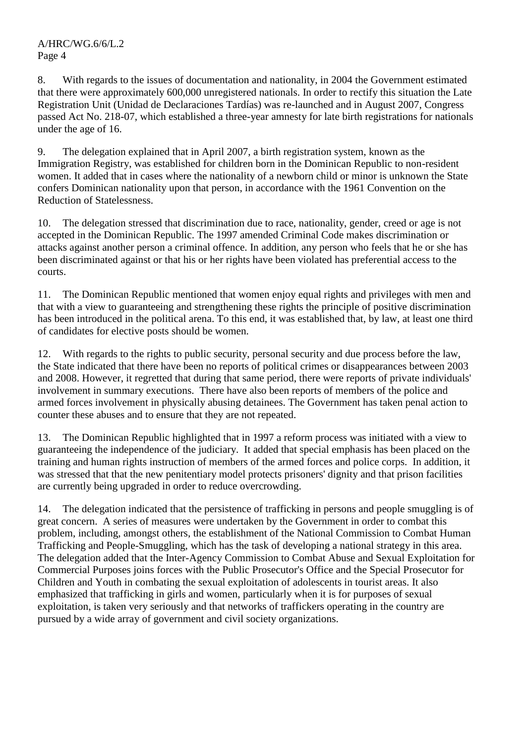8. With regards to the issues of documentation and nationality, in 2004 the Government estimated that there were approximately 600,000 unregistered nationals. In order to rectify this situation the Late Registration Unit (Unidad de Declaraciones Tardías) was re-launched and in August 2007, Congress passed Act No. 218-07, which established a three-year amnesty for late birth registrations for nationals under the age of 16.

9. The delegation explained that in April 2007, a birth registration system, known as the Immigration Registry, was established for children born in the Dominican Republic to non-resident women. It added that in cases where the nationality of a newborn child or minor is unknown the State confers Dominican nationality upon that person, in accordance with the 1961 Convention on the Reduction of Statelessness.

10. The delegation stressed that discrimination due to race, nationality, gender, creed or age is not accepted in the Dominican Republic. The 1997 amended Criminal Code makes discrimination or attacks against another person a criminal offence. In addition, any person who feels that he or she has been discriminated against or that his or her rights have been violated has preferential access to the courts.

11. The Dominican Republic mentioned that women enjoy equal rights and privileges with men and that with a view to guaranteeing and strengthening these rights the principle of positive discrimination has been introduced in the political arena. To this end, it was established that, by law, at least one third of candidates for elective posts should be women.

12. With regards to the rights to public security, personal security and due process before the law, the State indicated that there have been no reports of political crimes or disappearances between 2003 and 2008. However, it regretted that during that same period, there were reports of private individuals' involvement in summary executions. There have also been reports of members of the police and armed forces involvement in physically abusing detainees. The Government has taken penal action to counter these abuses and to ensure that they are not repeated.

13. The Dominican Republic highlighted that in 1997 a reform process was initiated with a view to guaranteeing the independence of the judiciary. It added that special emphasis has been placed on the training and human rights instruction of members of the armed forces and police corps. In addition, it was stressed that that the new penitentiary model protects prisoners' dignity and that prison facilities are currently being upgraded in order to reduce overcrowding.

14. The delegation indicated that the persistence of trafficking in persons and people smuggling is of great concern. A series of measures were undertaken by the Government in order to combat this problem, including, amongst others, the establishment of the National Commission to Combat Human Trafficking and People-Smuggling, which has the task of developing a national strategy in this area. The delegation added that the Inter-Agency Commission to Combat Abuse and Sexual Exploitation for Commercial Purposes joins forces with the Public Prosecutor's Office and the Special Prosecutor for Children and Youth in combating the sexual exploitation of adolescents in tourist areas. It also emphasized that trafficking in girls and women, particularly when it is for purposes of sexual exploitation, is taken very seriously and that networks of traffickers operating in the country are pursued by a wide array of government and civil society organizations.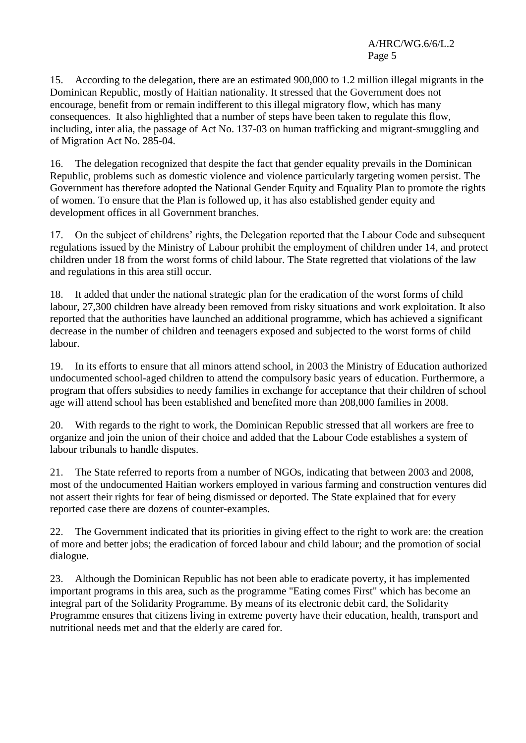15. According to the delegation, there are an estimated 900,000 to 1.2 million illegal migrants in the Dominican Republic, mostly of Haitian nationality. It stressed that the Government does not encourage, benefit from or remain indifferent to this illegal migratory flow, which has many consequences. It also highlighted that a number of steps have been taken to regulate this flow, including, inter alia, the passage of Act No. 137-03 on human trafficking and migrant-smuggling and of Migration Act No. 285-04.

16. The delegation recognized that despite the fact that gender equality prevails in the Dominican Republic, problems such as domestic violence and violence particularly targeting women persist. The Government has therefore adopted the National Gender Equity and Equality Plan to promote the rights of women. To ensure that the Plan is followed up, it has also established gender equity and development offices in all Government branches.

17. On the subject of childrens' rights, the Delegation reported that the Labour Code and subsequent regulations issued by the Ministry of Labour prohibit the employment of children under 14, and protect children under 18 from the worst forms of child labour. The State regretted that violations of the law and regulations in this area still occur.

18. It added that under the national strategic plan for the eradication of the worst forms of child labour, 27,300 children have already been removed from risky situations and work exploitation. It also reported that the authorities have launched an additional programme, which has achieved a significant decrease in the number of children and teenagers exposed and subjected to the worst forms of child labour.

19. In its efforts to ensure that all minors attend school, in 2003 the Ministry of Education authorized undocumented school-aged children to attend the compulsory basic years of education. Furthermore, a program that offers subsidies to needy families in exchange for acceptance that their children of school age will attend school has been established and benefited more than 208,000 families in 2008.

20. With regards to the right to work, the Dominican Republic stressed that all workers are free to organize and join the union of their choice and added that the Labour Code establishes a system of labour tribunals to handle disputes.

21. The State referred to reports from a number of NGOs, indicating that between 2003 and 2008, most of the undocumented Haitian workers employed in various farming and construction ventures did not assert their rights for fear of being dismissed or deported. The State explained that for every reported case there are dozens of counter-examples.

22. The Government indicated that its priorities in giving effect to the right to work are: the creation of more and better jobs; the eradication of forced labour and child labour; and the promotion of social dialogue.

23. Although the Dominican Republic has not been able to eradicate poverty, it has implemented important programs in this area, such as the programme "Eating comes First" which has become an integral part of the Solidarity Programme. By means of its electronic debit card, the Solidarity Programme ensures that citizens living in extreme poverty have their education, health, transport and nutritional needs met and that the elderly are cared for.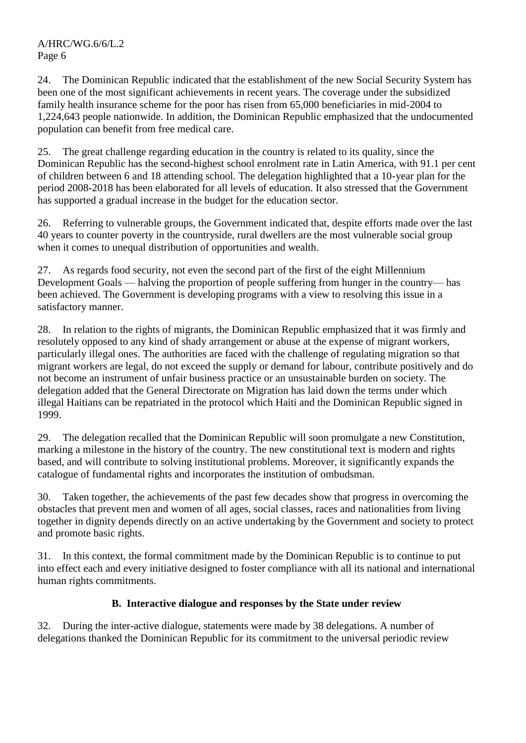24. The Dominican Republic indicated that the establishment of the new Social Security System has been one of the most significant achievements in recent years. The coverage under the subsidized family health insurance scheme for the poor has risen from 65,000 beneficiaries in mid-2004 to 1,224,643 people nationwide. In addition, the Dominican Republic emphasized that the undocumented population can benefit from free medical care.

25. The great challenge regarding education in the country is related to its quality, since the Dominican Republic has the second-highest school enrolment rate in Latin America, with 91.1 per cent of children between 6 and 18 attending school. The delegation highlighted that a 10-year plan for the period 2008-2018 has been elaborated for all levels of education. It also stressed that the Government has supported a gradual increase in the budget for the education sector.

26. Referring to vulnerable groups, the Government indicated that, despite efforts made over the last 40 years to counter poverty in the countryside, rural dwellers are the most vulnerable social group when it comes to unequal distribution of opportunities and wealth.

27. As regards food security, not even the second part of the first of the eight Millennium Development Goals — halving the proportion of people suffering from hunger in the country— has been achieved. The Government is developing programs with a view to resolving this issue in a satisfactory manner.

28. In relation to the rights of migrants, the Dominican Republic emphasized that it was firmly and resolutely opposed to any kind of shady arrangement or abuse at the expense of migrant workers, particularly illegal ones. The authorities are faced with the challenge of regulating migration so that migrant workers are legal, do not exceed the supply or demand for labour, contribute positively and do not become an instrument of unfair business practice or an unsustainable burden on society. The delegation added that the General Directorate on Migration has laid down the terms under which illegal Haitians can be repatriated in the protocol which Haiti and the Dominican Republic signed in 1999.

29. The delegation recalled that the Dominican Republic will soon promulgate a new Constitution, marking a milestone in the history of the country. The new constitutional text is modern and rights based, and will contribute to solving institutional problems. Moreover, it significantly expands the catalogue of fundamental rights and incorporates the institution of ombudsman.

30. Taken together, the achievements of the past few decades show that progress in overcoming the obstacles that prevent men and women of all ages, social classes, races and nationalities from living together in dignity depends directly on an active undertaking by the Government and society to protect and promote basic rights.

31. In this context, the formal commitment made by the Dominican Republic is to continue to put into effect each and every initiative designed to foster compliance with all its national and international human rights commitments.

# **B. Interactive dialogue and responses by the State under review**

32. During the inter-active dialogue, statements were made by 38 delegations. A number of delegations thanked the Dominican Republic for its commitment to the universal periodic review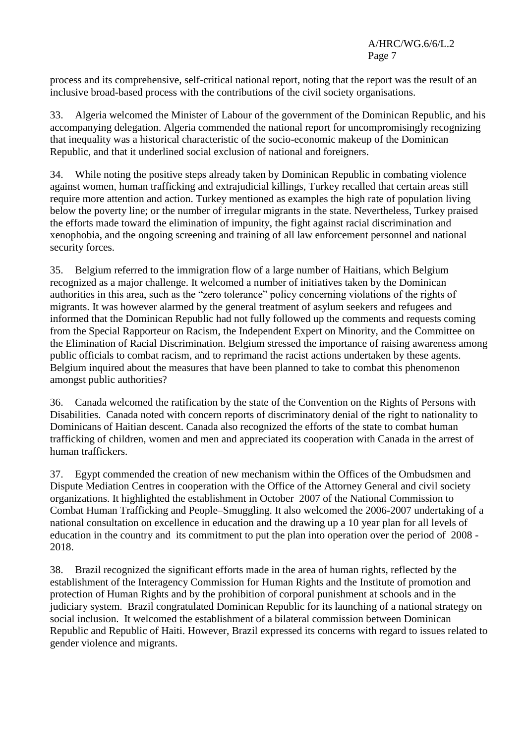process and its comprehensive, self-critical national report, noting that the report was the result of an inclusive broad-based process with the contributions of the civil society organisations.

33. Algeria welcomed the Minister of Labour of the government of the Dominican Republic, and his accompanying delegation. Algeria commended the national report for uncompromisingly recognizing that inequality was a historical characteristic of the socio-economic makeup of the Dominican Republic, and that it underlined social exclusion of national and foreigners.

34. While noting the positive steps already taken by Dominican Republic in combating violence against women, human trafficking and extrajudicial killings, Turkey recalled that certain areas still require more attention and action. Turkey mentioned as examples the high rate of population living below the poverty line; or the number of irregular migrants in the state. Nevertheless, Turkey praised the efforts made toward the elimination of impunity, the fight against racial discrimination and xenophobia, and the ongoing screening and training of all law enforcement personnel and national security forces.

35. Belgium referred to the immigration flow of a large number of Haitians, which Belgium recognized as a major challenge. It welcomed a number of initiatives taken by the Dominican authorities in this area, such as the "zero tolerance" policy concerning violations of the rights of migrants. It was however alarmed by the general treatment of asylum seekers and refugees and informed that the Dominican Republic had not fully followed up the comments and requests coming from the Special Rapporteur on Racism, the Independent Expert on Minority, and the Committee on the Elimination of Racial Discrimination. Belgium stressed the importance of raising awareness among public officials to combat racism, and to reprimand the racist actions undertaken by these agents. Belgium inquired about the measures that have been planned to take to combat this phenomenon amongst public authorities?

36. Canada welcomed the ratification by the state of the Convention on the Rights of Persons with Disabilities. Canada noted with concern reports of discriminatory denial of the right to nationality to Dominicans of Haitian descent. Canada also recognized the efforts of the state to combat human trafficking of children, women and men and appreciated its cooperation with Canada in the arrest of human traffickers.

37. Egypt commended the creation of new mechanism within the Offices of the Ombudsmen and Dispute Mediation Centres in cooperation with the Office of the Attorney General and civil society organizations. It highlighted the establishment in October 2007 of the National Commission to Combat Human Trafficking and People–Smuggling. It also welcomed the 2006-2007 undertaking of a national consultation on excellence in education and the drawing up a 10 year plan for all levels of education in the country and its commitment to put the plan into operation over the period of 2008 - 2018.

38. Brazil recognized the significant efforts made in the area of human rights, reflected by the establishment of the Interagency Commission for Human Rights and the Institute of promotion and protection of Human Rights and by the prohibition of corporal punishment at schools and in the judiciary system. Brazil congratulated Dominican Republic for its launching of a national strategy on social inclusion. It welcomed the establishment of a bilateral commission between Dominican Republic and Republic of Haiti. However, Brazil expressed its concerns with regard to issues related to gender violence and migrants.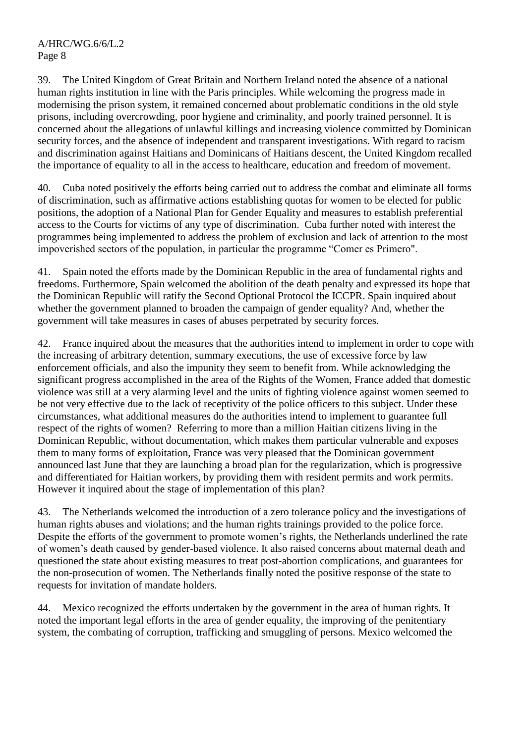39. The United Kingdom of Great Britain and Northern Ireland noted the absence of a national human rights institution in line with the Paris principles. While welcoming the progress made in modernising the prison system, it remained concerned about problematic conditions in the old style prisons, including overcrowding, poor hygiene and criminality, and poorly trained personnel. It is concerned about the allegations of unlawful killings and increasing violence committed by Dominican security forces, and the absence of independent and transparent investigations. With regard to racism and discrimination against Haitians and Dominicans of Haitians descent, the United Kingdom recalled the importance of equality to all in the access to healthcare, education and freedom of movement.

40. Cuba noted positively the efforts being carried out to address the combat and eliminate all forms of discrimination, such as affirmative actions establishing quotas for women to be elected for public positions, the adoption of a National Plan for Gender Equality and measures to establish preferential access to the Courts for victims of any type of discrimination. Cuba further noted with interest the programmes being implemented to address the problem of exclusion and lack of attention to the most impoverished sectors of the population, in particular the programme "Comer es Primero".

41. Spain noted the efforts made by the Dominican Republic in the area of fundamental rights and freedoms. Furthermore, Spain welcomed the abolition of the death penalty and expressed its hope that the Dominican Republic will ratify the Second Optional Protocol the ICCPR. Spain inquired about whether the government planned to broaden the campaign of gender equality? And, whether the government will take measures in cases of abuses perpetrated by security forces.

42. France inquired about the measures that the authorities intend to implement in order to cope with the increasing of arbitrary detention, summary executions, the use of excessive force by law enforcement officials, and also the impunity they seem to benefit from. While acknowledging the significant progress accomplished in the area of the Rights of the Women, France added that domestic violence was still at a very alarming level and the units of fighting violence against women seemed to be not very effective due to the lack of receptivity of the police officers to this subject. Under these circumstances, what additional measures do the authorities intend to implement to guarantee full respect of the rights of women? Referring to more than a million Haitian citizens living in the Dominican Republic, without documentation, which makes them particular vulnerable and exposes them to many forms of exploitation, France was very pleased that the Dominican government announced last June that they are launching a broad plan for the regularization, which is progressive and differentiated for Haitian workers, by providing them with resident permits and work permits. However it inquired about the stage of implementation of this plan?

43. The Netherlands welcomed the introduction of a zero tolerance policy and the investigations of human rights abuses and violations; and the human rights trainings provided to the police force. Despite the efforts of the government to promote women's rights, the Netherlands underlined the rate of women's death caused by gender-based violence. It also raised concerns about maternal death and questioned the state about existing measures to treat post-abortion complications, and guarantees for the non-prosecution of women. The Netherlands finally noted the positive response of the state to requests for invitation of mandate holders.

44. Mexico recognized the efforts undertaken by the government in the area of human rights. It noted the important legal efforts in the area of gender equality, the improving of the penitentiary system, the combating of corruption, trafficking and smuggling of persons. Mexico welcomed the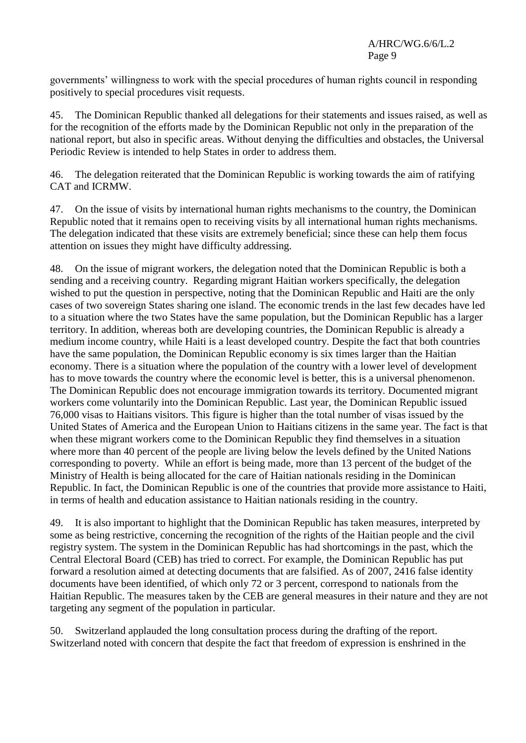governments' willingness to work with the special procedures of human rights council in responding positively to special procedures visit requests.

45. The Dominican Republic thanked all delegations for their statements and issues raised, as well as for the recognition of the efforts made by the Dominican Republic not only in the preparation of the national report, but also in specific areas. Without denying the difficulties and obstacles, the Universal Periodic Review is intended to help States in order to address them.

46. The delegation reiterated that the Dominican Republic is working towards the aim of ratifying CAT and ICRMW.

47. On the issue of visits by international human rights mechanisms to the country, the Dominican Republic noted that it remains open to receiving visits by all international human rights mechanisms. The delegation indicated that these visits are extremely beneficial; since these can help them focus attention on issues they might have difficulty addressing.

48. On the issue of migrant workers, the delegation noted that the Dominican Republic is both a sending and a receiving country. Regarding migrant Haitian workers specifically, the delegation wished to put the question in perspective, noting that the Dominican Republic and Haiti are the only cases of two sovereign States sharing one island. The economic trends in the last few decades have led to a situation where the two States have the same population, but the Dominican Republic has a larger territory. In addition, whereas both are developing countries, the Dominican Republic is already a medium income country, while Haiti is a least developed country. Despite the fact that both countries have the same population, the Dominican Republic economy is six times larger than the Haitian economy. There is a situation where the population of the country with a lower level of development has to move towards the country where the economic level is better, this is a universal phenomenon. The Dominican Republic does not encourage immigration towards its territory. Documented migrant workers come voluntarily into the Dominican Republic. Last year, the Dominican Republic issued 76,000 visas to Haitians visitors. This figure is higher than the total number of visas issued by the United States of America and the European Union to Haitians citizens in the same year. The fact is that when these migrant workers come to the Dominican Republic they find themselves in a situation where more than 40 percent of the people are living below the levels defined by the United Nations corresponding to poverty. While an effort is being made, more than 13 percent of the budget of the Ministry of Health is being allocated for the care of Haitian nationals residing in the Dominican Republic. In fact, the Dominican Republic is one of the countries that provide more assistance to Haiti, in terms of health and education assistance to Haitian nationals residing in the country.

49. It is also important to highlight that the Dominican Republic has taken measures, interpreted by some as being restrictive, concerning the recognition of the rights of the Haitian people and the civil registry system. The system in the Dominican Republic has had shortcomings in the past, which the Central Electoral Board (CEB) has tried to correct. For example, the Dominican Republic has put forward a resolution aimed at detecting documents that are falsified. As of 2007, 2416 false identity documents have been identified, of which only 72 or 3 percent, correspond to nationals from the Haitian Republic. The measures taken by the CEB are general measures in their nature and they are not targeting any segment of the population in particular.

50. Switzerland applauded the long consultation process during the drafting of the report. Switzerland noted with concern that despite the fact that freedom of expression is enshrined in the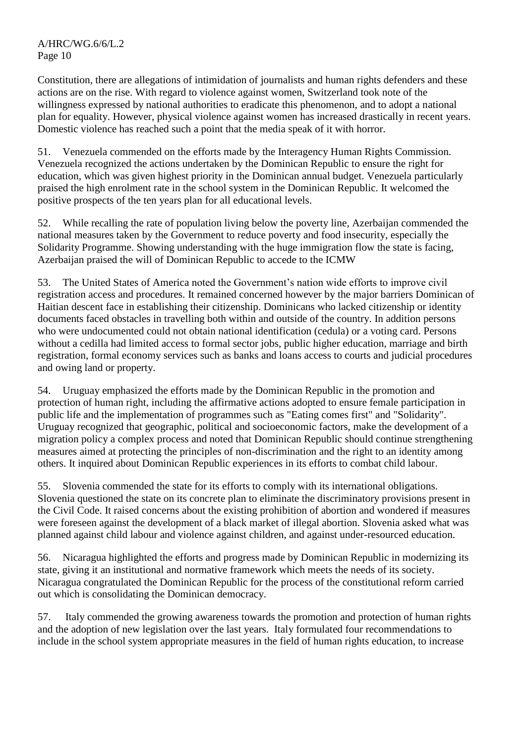Constitution, there are allegations of intimidation of journalists and human rights defenders and these actions are on the rise. With regard to violence against women, Switzerland took note of the willingness expressed by national authorities to eradicate this phenomenon, and to adopt a national plan for equality. However, physical violence against women has increased drastically in recent years. Domestic violence has reached such a point that the media speak of it with horror.

51. Venezuela commended on the efforts made by the Interagency Human Rights Commission. Venezuela recognized the actions undertaken by the Dominican Republic to ensure the right for education, which was given highest priority in the Dominican annual budget. Venezuela particularly praised the high enrolment rate in the school system in the Dominican Republic. It welcomed the positive prospects of the ten years plan for all educational levels.

52. While recalling the rate of population living below the poverty line, Azerbaijan commended the national measures taken by the Government to reduce poverty and food insecurity, especially the Solidarity Programme. Showing understanding with the huge immigration flow the state is facing, Azerbaijan praised the will of Dominican Republic to accede to the ICMW

53. The United States of America noted the Government's nation wide efforts to improve civil registration access and procedures. It remained concerned however by the major barriers Dominican of Haitian descent face in establishing their citizenship. Dominicans who lacked citizenship or identity documents faced obstacles in travelling both within and outside of the country. In addition persons who were undocumented could not obtain national identification (cedula) or a voting card. Persons without a cedilla had limited access to formal sector jobs, public higher education, marriage and birth registration, formal economy services such as banks and loans access to courts and judicial procedures and owing land or property.

54. Uruguay emphasized the efforts made by the Dominican Republic in the promotion and protection of human right, including the affirmative actions adopted to ensure female participation in public life and the implementation of programmes such as "Eating comes first" and "Solidarity". Uruguay recognized that geographic, political and socioeconomic factors, make the development of a migration policy a complex process and noted that Dominican Republic should continue strengthening measures aimed at protecting the principles of non-discrimination and the right to an identity among others. It inquired about Dominican Republic experiences in its efforts to combat child labour.

55. Slovenia commended the state for its efforts to comply with its international obligations. Slovenia questioned the state on its concrete plan to eliminate the discriminatory provisions present in the Civil Code. It raised concerns about the existing prohibition of abortion and wondered if measures were foreseen against the development of a black market of illegal abortion. Slovenia asked what was planned against child labour and violence against children, and against under-resourced education.

56. Nicaragua highlighted the efforts and progress made by Dominican Republic in modernizing its state, giving it an institutional and normative framework which meets the needs of its society. Nicaragua congratulated the Dominican Republic for the process of the constitutional reform carried out which is consolidating the Dominican democracy.

57. Italy commended the growing awareness towards the promotion and protection of human rights and the adoption of new legislation over the last years. Italy formulated four recommendations to include in the school system appropriate measures in the field of human rights education, to increase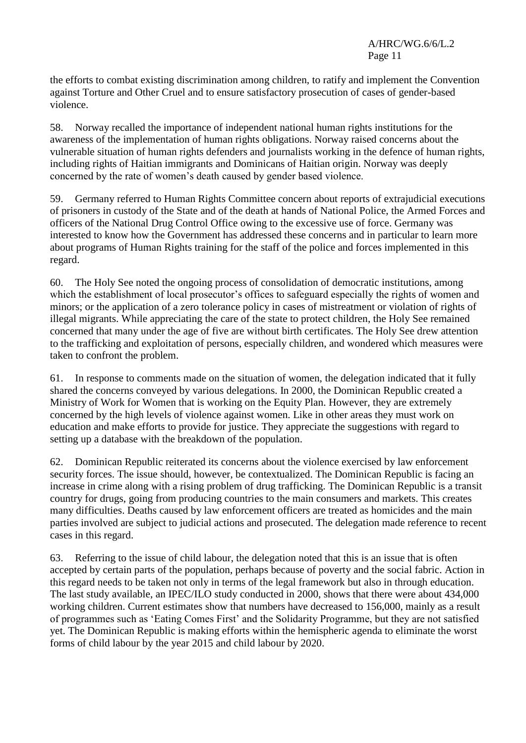the efforts to combat existing discrimination among children, to ratify and implement the Convention against Torture and Other Cruel and to ensure satisfactory prosecution of cases of gender-based violence.

58. Norway recalled the importance of independent national human rights institutions for the awareness of the implementation of human rights obligations. Norway raised concerns about the vulnerable situation of human rights defenders and journalists working in the defence of human rights, including rights of Haitian immigrants and Dominicans of Haitian origin. Norway was deeply concerned by the rate of women's death caused by gender based violence.

59. Germany referred to Human Rights Committee concern about reports of extrajudicial executions of prisoners in custody of the State and of the death at hands of National Police, the Armed Forces and officers of the National Drug Control Office owing to the excessive use of force. Germany was interested to know how the Government has addressed these concerns and in particular to learn more about programs of Human Rights training for the staff of the police and forces implemented in this regard.

60. The Holy See noted the ongoing process of consolidation of democratic institutions, among which the establishment of local prosecutor's offices to safeguard especially the rights of women and minors; or the application of a zero tolerance policy in cases of mistreatment or violation of rights of illegal migrants. While appreciating the care of the state to protect children, the Holy See remained concerned that many under the age of five are without birth certificates. The Holy See drew attention to the trafficking and exploitation of persons, especially children, and wondered which measures were taken to confront the problem.

61. In response to comments made on the situation of women, the delegation indicated that it fully shared the concerns conveyed by various delegations. In 2000, the Dominican Republic created a Ministry of Work for Women that is working on the Equity Plan. However, they are extremely concerned by the high levels of violence against women. Like in other areas they must work on education and make efforts to provide for justice. They appreciate the suggestions with regard to setting up a database with the breakdown of the population.

62. Dominican Republic reiterated its concerns about the violence exercised by law enforcement security forces. The issue should, however, be contextualized. The Dominican Republic is facing an increase in crime along with a rising problem of drug trafficking. The Dominican Republic is a transit country for drugs, going from producing countries to the main consumers and markets. This creates many difficulties. Deaths caused by law enforcement officers are treated as homicides and the main parties involved are subject to judicial actions and prosecuted. The delegation made reference to recent cases in this regard.

63. Referring to the issue of child labour, the delegation noted that this is an issue that is often accepted by certain parts of the population, perhaps because of poverty and the social fabric. Action in this regard needs to be taken not only in terms of the legal framework but also in through education. The last study available, an IPEC/ILO study conducted in 2000, shows that there were about 434,000 working children. Current estimates show that numbers have decreased to 156,000, mainly as a result of programmes such as ‗Eating Comes First' and the Solidarity Programme, but they are not satisfied yet. The Dominican Republic is making efforts within the hemispheric agenda to eliminate the worst forms of child labour by the year 2015 and child labour by 2020.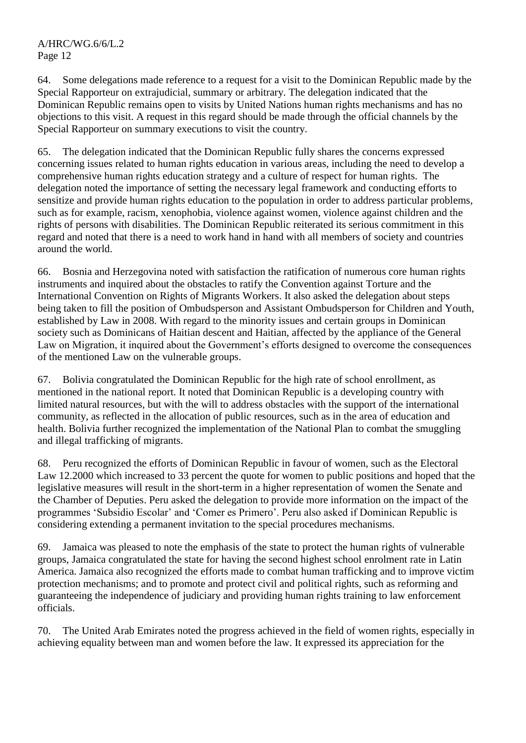64. Some delegations made reference to a request for a visit to the Dominican Republic made by the Special Rapporteur on extrajudicial, summary or arbitrary. The delegation indicated that the Dominican Republic remains open to visits by United Nations human rights mechanisms and has no objections to this visit. A request in this regard should be made through the official channels by the Special Rapporteur on summary executions to visit the country.

65. The delegation indicated that the Dominican Republic fully shares the concerns expressed concerning issues related to human rights education in various areas, including the need to develop a comprehensive human rights education strategy and a culture of respect for human rights. The delegation noted the importance of setting the necessary legal framework and conducting efforts to sensitize and provide human rights education to the population in order to address particular problems, such as for example, racism, xenophobia, violence against women, violence against children and the rights of persons with disabilities. The Dominican Republic reiterated its serious commitment in this regard and noted that there is a need to work hand in hand with all members of society and countries around the world.

66. Bosnia and Herzegovina noted with satisfaction the ratification of numerous core human rights instruments and inquired about the obstacles to ratify the Convention against Torture and the International Convention on Rights of Migrants Workers. It also asked the delegation about steps being taken to fill the position of Ombudsperson and Assistant Ombudsperson for Children and Youth, established by Law in 2008. With regard to the minority issues and certain groups in Dominican society such as Dominicans of Haitian descent and Haitian, affected by the appliance of the General Law on Migration, it inquired about the Government's efforts designed to overcome the consequences of the mentioned Law on the vulnerable groups.

67. Bolivia congratulated the Dominican Republic for the high rate of school enrollment, as mentioned in the national report. It noted that Dominican Republic is a developing country with limited natural resources, but with the will to address obstacles with the support of the international community, as reflected in the allocation of public resources, such as in the area of education and health. Bolivia further recognized the implementation of the National Plan to combat the smuggling and illegal trafficking of migrants.

68. Peru recognized the efforts of Dominican Republic in favour of women, such as the Electoral Law 12.2000 which increased to 33 percent the quote for women to public positions and hoped that the legislative measures will result in the short-term in a higher representation of women the Senate and the Chamber of Deputies. Peru asked the delegation to provide more information on the impact of the programmes ‗Subsidio Escolar' and ‗Comer es Primero'. Peru also asked if Dominican Republic is considering extending a permanent invitation to the special procedures mechanisms.

69. Jamaica was pleased to note the emphasis of the state to protect the human rights of vulnerable groups, Jamaica congratulated the state for having the second highest school enrolment rate in Latin America. Jamaica also recognized the efforts made to combat human trafficking and to improve victim protection mechanisms; and to promote and protect civil and political rights, such as reforming and guaranteeing the independence of judiciary and providing human rights training to law enforcement officials.

70. The United Arab Emirates noted the progress achieved in the field of women rights, especially in achieving equality between man and women before the law. It expressed its appreciation for the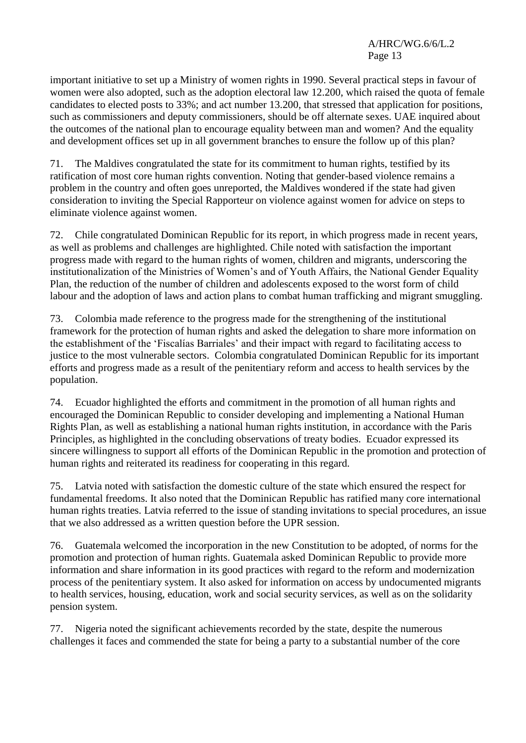important initiative to set up a Ministry of women rights in 1990. Several practical steps in favour of women were also adopted, such as the adoption electoral law 12.200, which raised the quota of female candidates to elected posts to 33%; and act number 13.200, that stressed that application for positions, such as commissioners and deputy commissioners, should be off alternate sexes. UAE inquired about the outcomes of the national plan to encourage equality between man and women? And the equality and development offices set up in all government branches to ensure the follow up of this plan?

71. The Maldives congratulated the state for its commitment to human rights, testified by its ratification of most core human rights convention. Noting that gender-based violence remains a problem in the country and often goes unreported, the Maldives wondered if the state had given consideration to inviting the Special Rapporteur on violence against women for advice on steps to eliminate violence against women.

72. Chile congratulated Dominican Republic for its report, in which progress made in recent years, as well as problems and challenges are highlighted. Chile noted with satisfaction the important progress made with regard to the human rights of women, children and migrants, underscoring the institutionalization of the Ministries of Women's and of Youth Affairs, the National Gender Equality Plan, the reduction of the number of children and adolescents exposed to the worst form of child labour and the adoption of laws and action plans to combat human trafficking and migrant smuggling.

73. Colombia made reference to the progress made for the strengthening of the institutional framework for the protection of human rights and asked the delegation to share more information on the establishment of the ‗Fiscalías Barriales' and their impact with regard to facilitating access to justice to the most vulnerable sectors. Colombia congratulated Dominican Republic for its important efforts and progress made as a result of the penitentiary reform and access to health services by the population.

74. Ecuador highlighted the efforts and commitment in the promotion of all human rights and encouraged the Dominican Republic to consider developing and implementing a National Human Rights Plan, as well as establishing a national human rights institution, in accordance with the Paris Principles, as highlighted in the concluding observations of treaty bodies. Ecuador expressed its sincere willingness to support all efforts of the Dominican Republic in the promotion and protection of human rights and reiterated its readiness for cooperating in this regard.

75. Latvia noted with satisfaction the domestic culture of the state which ensured the respect for fundamental freedoms. It also noted that the Dominican Republic has ratified many core international human rights treaties. Latvia referred to the issue of standing invitations to special procedures, an issue that we also addressed as a written question before the UPR session.

76. Guatemala welcomed the incorporation in the new Constitution to be adopted, of norms for the promotion and protection of human rights. Guatemala asked Dominican Republic to provide more information and share information in its good practices with regard to the reform and modernization process of the penitentiary system. It also asked for information on access by undocumented migrants to health services, housing, education, work and social security services, as well as on the solidarity pension system.

77. Nigeria noted the significant achievements recorded by the state, despite the numerous challenges it faces and commended the state for being a party to a substantial number of the core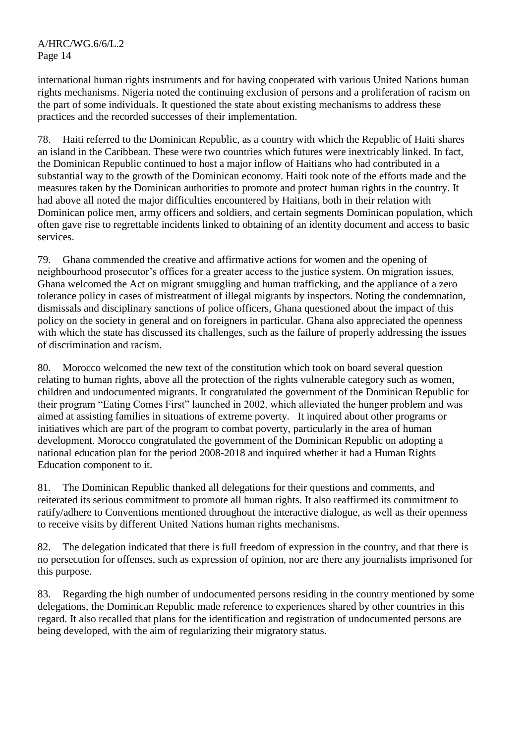international human rights instruments and for having cooperated with various United Nations human rights mechanisms. Nigeria noted the continuing exclusion of persons and a proliferation of racism on the part of some individuals. It questioned the state about existing mechanisms to address these practices and the recorded successes of their implementation.

78. Haiti referred to the Dominican Republic, as a country with which the Republic of Haiti shares an island in the Caribbean. These were two countries which futures were inextricably linked. In fact, the Dominican Republic continued to host a major inflow of Haitians who had contributed in a substantial way to the growth of the Dominican economy. Haiti took note of the efforts made and the measures taken by the Dominican authorities to promote and protect human rights in the country. It had above all noted the major difficulties encountered by Haitians, both in their relation with Dominican police men, army officers and soldiers, and certain segments Dominican population, which often gave rise to regrettable incidents linked to obtaining of an identity document and access to basic services.

79. Ghana commended the creative and affirmative actions for women and the opening of neighbourhood prosecutor's offices for a greater access to the justice system. On migration issues, Ghana welcomed the Act on migrant smuggling and human trafficking, and the appliance of a zero tolerance policy in cases of mistreatment of illegal migrants by inspectors. Noting the condemnation, dismissals and disciplinary sanctions of police officers, Ghana questioned about the impact of this policy on the society in general and on foreigners in particular. Ghana also appreciated the openness with which the state has discussed its challenges, such as the failure of properly addressing the issues of discrimination and racism.

80. Morocco welcomed the new text of the constitution which took on board several question relating to human rights, above all the protection of the rights vulnerable category such as women, children and undocumented migrants. It congratulated the government of the Dominican Republic for their program "Eating Comes First" launched in 2002, which alleviated the hunger problem and was aimed at assisting families in situations of extreme poverty. It inquired about other programs or initiatives which are part of the program to combat poverty, particularly in the area of human development. Morocco congratulated the government of the Dominican Republic on adopting a national education plan for the period 2008-2018 and inquired whether it had a Human Rights Education component to it.

81. The Dominican Republic thanked all delegations for their questions and comments, and reiterated its serious commitment to promote all human rights. It also reaffirmed its commitment to ratify/adhere to Conventions mentioned throughout the interactive dialogue, as well as their openness to receive visits by different United Nations human rights mechanisms.

82. The delegation indicated that there is full freedom of expression in the country, and that there is no persecution for offenses, such as expression of opinion, nor are there any journalists imprisoned for this purpose.

83. Regarding the high number of undocumented persons residing in the country mentioned by some delegations, the Dominican Republic made reference to experiences shared by other countries in this regard. It also recalled that plans for the identification and registration of undocumented persons are being developed, with the aim of regularizing their migratory status.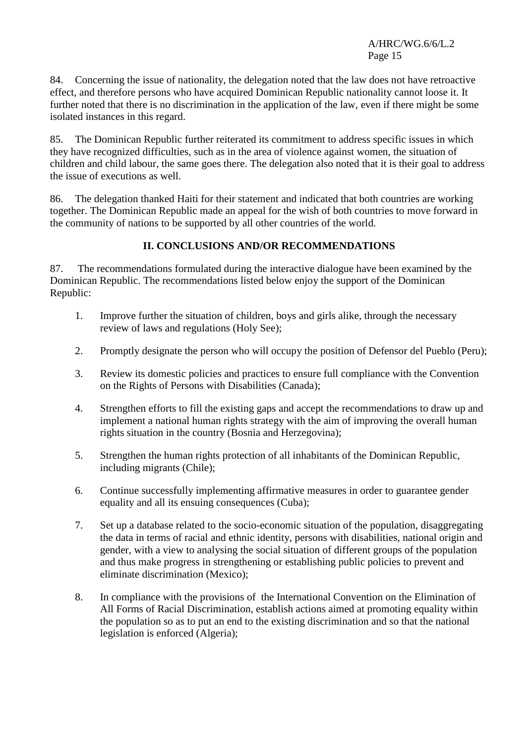84. Concerning the issue of nationality, the delegation noted that the law does not have retroactive effect, and therefore persons who have acquired Dominican Republic nationality cannot loose it. It further noted that there is no discrimination in the application of the law, even if there might be some isolated instances in this regard.

85. The Dominican Republic further reiterated its commitment to address specific issues in which they have recognized difficulties, such as in the area of violence against women, the situation of children and child labour, the same goes there. The delegation also noted that it is their goal to address the issue of executions as well.

86. The delegation thanked Haiti for their statement and indicated that both countries are working together. The Dominican Republic made an appeal for the wish of both countries to move forward in the community of nations to be supported by all other countries of the world.

## **II. CONCLUSIONS AND/OR RECOMMENDATIONS**

87. The recommendations formulated during the interactive dialogue have been examined by the Dominican Republic. The recommendations listed below enjoy the support of the Dominican Republic:

- 1. Improve further the situation of children, boys and girls alike, through the necessary review of laws and regulations (Holy See);
- 2. Promptly designate the person who will occupy the position of Defensor del Pueblo (Peru);
- 3. Review its domestic policies and practices to ensure full compliance with the Convention on the Rights of Persons with Disabilities (Canada);
- 4. Strengthen efforts to fill the existing gaps and accept the recommendations to draw up and implement a national human rights strategy with the aim of improving the overall human rights situation in the country (Bosnia and Herzegovina);
- 5. Strengthen the human rights protection of all inhabitants of the Dominican Republic, including migrants (Chile);
- 6. Continue successfully implementing affirmative measures in order to guarantee gender equality and all its ensuing consequences (Cuba);
- 7. Set up a database related to the socio-economic situation of the population, disaggregating the data in terms of racial and ethnic identity, persons with disabilities, national origin and gender, with a view to analysing the social situation of different groups of the population and thus make progress in strengthening or establishing public policies to prevent and eliminate discrimination (Mexico);
- 8. In compliance with the provisions of the International Convention on the Elimination of All Forms of Racial Discrimination, establish actions aimed at promoting equality within the population so as to put an end to the existing discrimination and so that the national legislation is enforced (Algeria);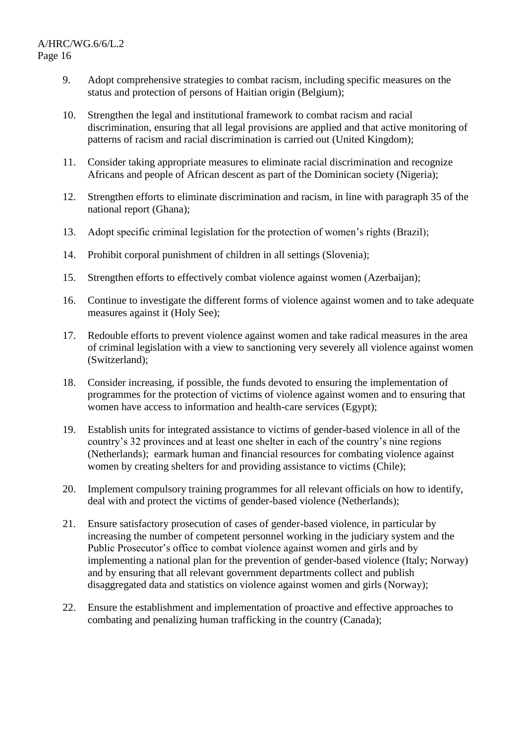- 9. Adopt comprehensive strategies to combat racism, including specific measures on the status and protection of persons of Haitian origin (Belgium);
- 10. Strengthen the legal and institutional framework to combat racism and racial discrimination, ensuring that all legal provisions are applied and that active monitoring of patterns of racism and racial discrimination is carried out (United Kingdom);
- 11. Consider taking appropriate measures to eliminate racial discrimination and recognize Africans and people of African descent as part of the Dominican society (Nigeria);
- 12. Strengthen efforts to eliminate discrimination and racism, in line with paragraph 35 of the national report (Ghana);
- 13. Adopt specific criminal legislation for the protection of women's rights (Brazil);
- 14. Prohibit corporal punishment of children in all settings (Slovenia);
- 15. Strengthen efforts to effectively combat violence against women (Azerbaijan);
- 16. Continue to investigate the different forms of violence against women and to take adequate measures against it (Holy See);
- 17. Redouble efforts to prevent violence against women and take radical measures in the area of criminal legislation with a view to sanctioning very severely all violence against women (Switzerland);
- 18. Consider increasing, if possible, the funds devoted to ensuring the implementation of programmes for the protection of victims of violence against women and to ensuring that women have access to information and health-care services (Egypt);
- 19. Establish units for integrated assistance to victims of gender-based violence in all of the country's 32 provinces and at least one shelter in each of the country's nine regions (Netherlands); earmark human and financial resources for combating violence against women by creating shelters for and providing assistance to victims (Chile);
- 20. Implement compulsory training programmes for all relevant officials on how to identify, deal with and protect the victims of gender-based violence (Netherlands);
- 21. Ensure satisfactory prosecution of cases of gender-based violence, in particular by increasing the number of competent personnel working in the judiciary system and the Public Prosecutor's office to combat violence against women and girls and by implementing a national plan for the prevention of gender-based violence (Italy; Norway) and by ensuring that all relevant government departments collect and publish disaggregated data and statistics on violence against women and girls (Norway);
- 22. Ensure the establishment and implementation of proactive and effective approaches to combating and penalizing human trafficking in the country (Canada);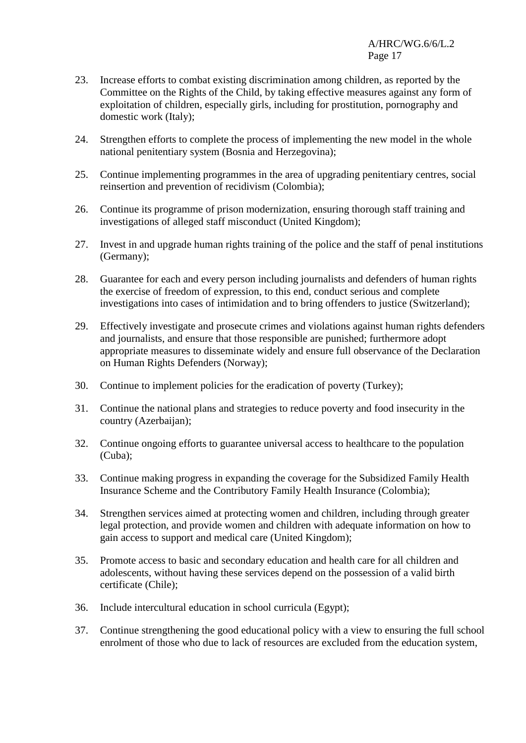- 23. Increase efforts to combat existing discrimination among children, as reported by the Committee on the Rights of the Child, by taking effective measures against any form of exploitation of children, especially girls, including for prostitution, pornography and domestic work (Italy);
- 24. Strengthen efforts to complete the process of implementing the new model in the whole national penitentiary system (Bosnia and Herzegovina);
- 25. Continue implementing programmes in the area of upgrading penitentiary centres, social reinsertion and prevention of recidivism (Colombia);
- 26. Continue its programme of prison modernization, ensuring thorough staff training and investigations of alleged staff misconduct (United Kingdom);
- 27. Invest in and upgrade human rights training of the police and the staff of penal institutions (Germany);
- 28. Guarantee for each and every person including journalists and defenders of human rights the exercise of freedom of expression, to this end, conduct serious and complete investigations into cases of intimidation and to bring offenders to justice (Switzerland);
- 29. Effectively investigate and prosecute crimes and violations against human rights defenders and journalists, and ensure that those responsible are punished; furthermore adopt appropriate measures to disseminate widely and ensure full observance of the Declaration on Human Rights Defenders (Norway);
- 30. Continue to implement policies for the eradication of poverty (Turkey);
- 31. Continue the national plans and strategies to reduce poverty and food insecurity in the country (Azerbaijan);
- 32. Continue ongoing efforts to guarantee universal access to healthcare to the population (Cuba);
- 33. Continue making progress in expanding the coverage for the Subsidized Family Health Insurance Scheme and the Contributory Family Health Insurance (Colombia);
- 34. Strengthen services aimed at protecting women and children, including through greater legal protection, and provide women and children with adequate information on how to gain access to support and medical care (United Kingdom);
- 35. Promote access to basic and secondary education and health care for all children and adolescents, without having these services depend on the possession of a valid birth certificate (Chile);
- 36. Include intercultural education in school curricula (Egypt);
- 37. Continue strengthening the good educational policy with a view to ensuring the full school enrolment of those who due to lack of resources are excluded from the education system,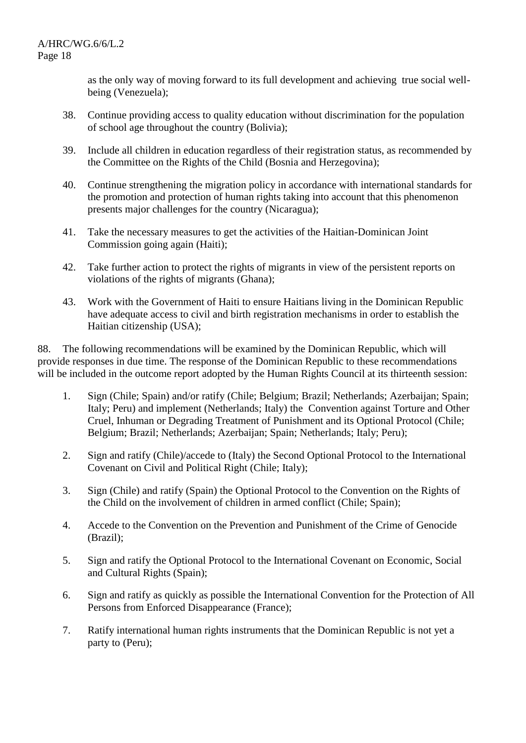as the only way of moving forward to its full development and achieving true social wellbeing (Venezuela);

- 38. Continue providing access to quality education without discrimination for the population of school age throughout the country (Bolivia);
- 39. Include all children in education regardless of their registration status, as recommended by the Committee on the Rights of the Child (Bosnia and Herzegovina);
- 40. Continue strengthening the migration policy in accordance with international standards for the promotion and protection of human rights taking into account that this phenomenon presents major challenges for the country (Nicaragua);
- 41. Take the necessary measures to get the activities of the Haitian-Dominican Joint Commission going again (Haiti);
- 42. Take further action to protect the rights of migrants in view of the persistent reports on violations of the rights of migrants (Ghana);
- 43. Work with the Government of Haiti to ensure Haitians living in the Dominican Republic have adequate access to civil and birth registration mechanisms in order to establish the Haitian citizenship (USA);

88. The following recommendations will be examined by the Dominican Republic, which will provide responses in due time. The response of the Dominican Republic to these recommendations will be included in the outcome report adopted by the Human Rights Council at its thirteenth session:

- 1. Sign (Chile; Spain) and/or ratify (Chile; Belgium; Brazil; Netherlands; Azerbaijan; Spain; Italy; Peru) and implement (Netherlands; Italy) the Convention against Torture and Other Cruel, Inhuman or Degrading Treatment of Punishment and its Optional Protocol (Chile; Belgium; Brazil; Netherlands; Azerbaijan; Spain; Netherlands; Italy; Peru);
- 2. Sign and ratify (Chile)/accede to (Italy) the Second Optional Protocol to the International Covenant on Civil and Political Right (Chile; Italy);
- 3. Sign (Chile) and ratify (Spain) the Optional Protocol to the Convention on the Rights of the Child on the involvement of children in armed conflict (Chile; Spain);
- 4. Accede to the Convention on the Prevention and Punishment of the Crime of Genocide (Brazil);
- 5. Sign and ratify the Optional Protocol to the International Covenant on Economic, Social and Cultural Rights (Spain);
- 6. Sign and ratify as quickly as possible the International Convention for the Protection of All Persons from Enforced Disappearance (France);
- 7. Ratify international human rights instruments that the Dominican Republic is not yet a party to (Peru);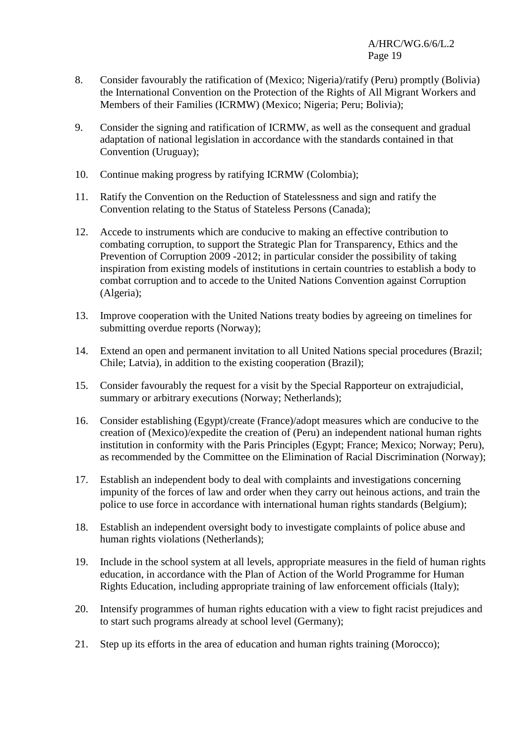- 8. Consider favourably the ratification of (Mexico; Nigeria)/ratify (Peru) promptly (Bolivia) the International Convention on the Protection of the Rights of All Migrant Workers and Members of their Families (ICRMW) (Mexico; Nigeria; Peru; Bolivia);
- 9. Consider the signing and ratification of ICRMW, as well as the consequent and gradual adaptation of national legislation in accordance with the standards contained in that Convention (Uruguay);
- 10. Continue making progress by ratifying ICRMW (Colombia);
- 11. Ratify the Convention on the Reduction of Statelessness and sign and ratify the Convention relating to the Status of Stateless Persons (Canada);
- 12. Accede to instruments which are conducive to making an effective contribution to combating corruption, to support the Strategic Plan for Transparency, Ethics and the Prevention of Corruption 2009 -2012; in particular consider the possibility of taking inspiration from existing models of institutions in certain countries to establish a body to combat corruption and to accede to the United Nations Convention against Corruption (Algeria);
- 13. Improve cooperation with the United Nations treaty bodies by agreeing on timelines for submitting overdue reports (Norway);
- 14. Extend an open and permanent invitation to all United Nations special procedures (Brazil; Chile; Latvia), in addition to the existing cooperation (Brazil);
- 15. Consider favourably the request for a visit by the Special Rapporteur on extrajudicial, summary or arbitrary executions (Norway; Netherlands);
- 16. Consider establishing (Egypt)/create (France)/adopt measures which are conducive to the creation of (Mexico)/expedite the creation of (Peru) an independent national human rights institution in conformity with the Paris Principles (Egypt; France; Mexico; Norway; Peru), as recommended by the Committee on the Elimination of Racial Discrimination (Norway);
- 17. Establish an independent body to deal with complaints and investigations concerning impunity of the forces of law and order when they carry out heinous actions, and train the police to use force in accordance with international human rights standards (Belgium);
- 18. Establish an independent oversight body to investigate complaints of police abuse and human rights violations (Netherlands);
- 19. Include in the school system at all levels, appropriate measures in the field of human rights education, in accordance with the Plan of Action of the World Programme for Human Rights Education, including appropriate training of law enforcement officials (Italy);
- 20. Intensify programmes of human rights education with a view to fight racist prejudices and to start such programs already at school level (Germany);
- 21. Step up its efforts in the area of education and human rights training (Morocco);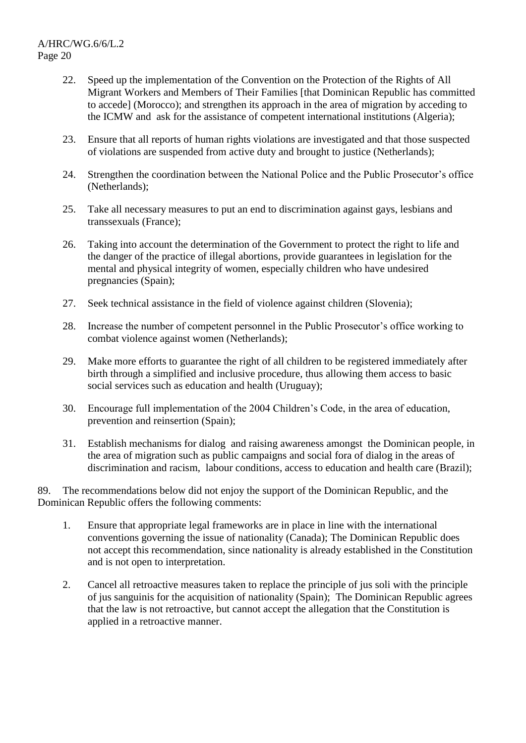- 22. Speed up the implementation of the Convention on the Protection of the Rights of All Migrant Workers and Members of Their Families [that Dominican Republic has committed to accede] (Morocco); and strengthen its approach in the area of migration by acceding to the ICMW and ask for the assistance of competent international institutions (Algeria);
- 23. Ensure that all reports of human rights violations are investigated and that those suspected of violations are suspended from active duty and brought to justice (Netherlands);
- 24. Strengthen the coordination between the National Police and the Public Prosecutor's office (Netherlands);
- 25. Take all necessary measures to put an end to discrimination against gays, lesbians and transsexuals (France);
- 26. Taking into account the determination of the Government to protect the right to life and the danger of the practice of illegal abortions, provide guarantees in legislation for the mental and physical integrity of women, especially children who have undesired pregnancies (Spain);
- 27. Seek technical assistance in the field of violence against children (Slovenia);
- 28. Increase the number of competent personnel in the Public Prosecutor's office working to combat violence against women (Netherlands);
- 29. Make more efforts to guarantee the right of all children to be registered immediately after birth through a simplified and inclusive procedure, thus allowing them access to basic social services such as education and health (Uruguay);
- 30. Encourage full implementation of the 2004 Children's Code, in the area of education, prevention and reinsertion (Spain);
- 31. Establish mechanisms for dialog and raising awareness amongst the Dominican people, in the area of migration such as public campaigns and social fora of dialog in the areas of discrimination and racism, labour conditions, access to education and health care (Brazil);

89. The recommendations below did not enjoy the support of the Dominican Republic, and the Dominican Republic offers the following comments:

- 1. Ensure that appropriate legal frameworks are in place in line with the international conventions governing the issue of nationality (Canada); The Dominican Republic does not accept this recommendation, since nationality is already established in the Constitution and is not open to interpretation.
- 2. Cancel all retroactive measures taken to replace the principle of jus soli with the principle of jus sanguinis for the acquisition of nationality (Spain); The Dominican Republic agrees that the law is not retroactive, but cannot accept the allegation that the Constitution is applied in a retroactive manner.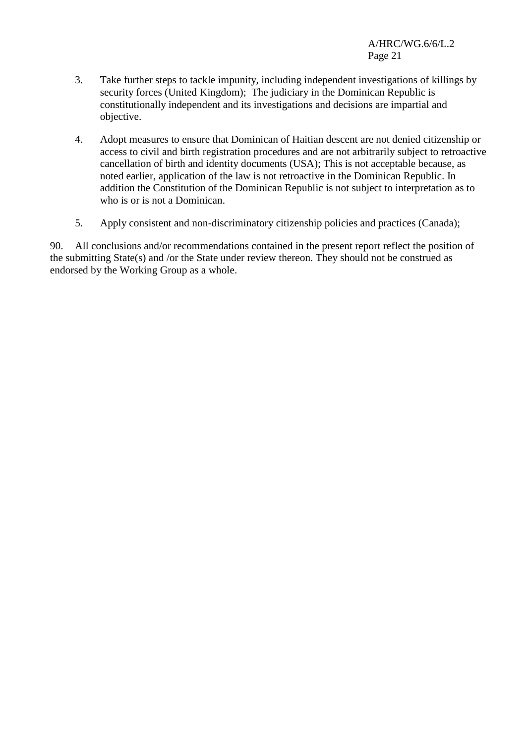- 3. Take further steps to tackle impunity, including independent investigations of killings by security forces (United Kingdom); The judiciary in the Dominican Republic is constitutionally independent and its investigations and decisions are impartial and objective.
- 4. Adopt measures to ensure that Dominican of Haitian descent are not denied citizenship or access to civil and birth registration procedures and are not arbitrarily subject to retroactive cancellation of birth and identity documents (USA); This is not acceptable because, as noted earlier, application of the law is not retroactive in the Dominican Republic. In addition the Constitution of the Dominican Republic is not subject to interpretation as to who is or is not a Dominican.
- 5. Apply consistent and non-discriminatory citizenship policies and practices (Canada);

90. All conclusions and/or recommendations contained in the present report reflect the position of the submitting State(s) and /or the State under review thereon. They should not be construed as endorsed by the Working Group as a whole.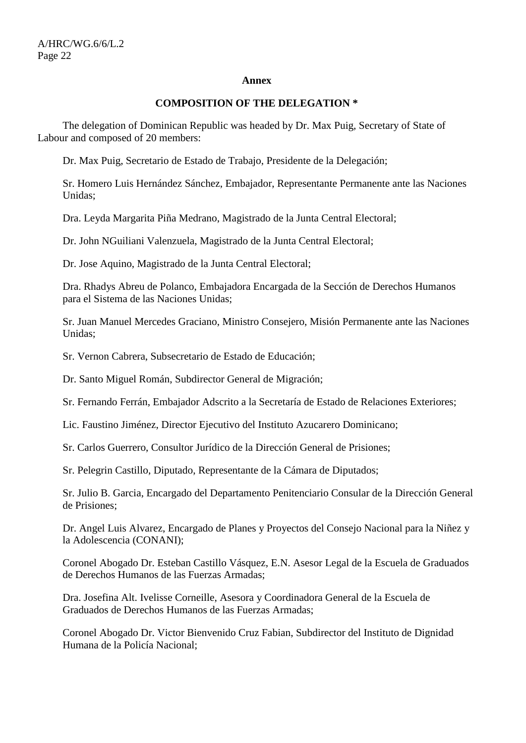#### **Annex**

#### **COMPOSITION OF THE DELEGATION \***

The delegation of Dominican Republic was headed by Dr. Max Puig, Secretary of State of Labour and composed of 20 members:

Dr. Max Puig, Secretario de Estado de Trabajo, Presidente de la Delegación;

Sr. Homero Luis Hernández Sánchez, Embajador, Representante Permanente ante las Naciones Unidas;

Dra. Leyda Margarita Piña Medrano, Magistrado de la Junta Central Electoral;

Dr. John NGuiliani Valenzuela, Magistrado de la Junta Central Electoral;

Dr. Jose Aquino, Magistrado de la Junta Central Electoral;

Dra. Rhadys Abreu de Polanco, Embajadora Encargada de la Sección de Derechos Humanos para el Sistema de las Naciones Unidas;

Sr. Juan Manuel Mercedes Graciano, Ministro Consejero, Misión Permanente ante las Naciones Unidas;

Sr. Vernon Cabrera, Subsecretario de Estado de Educación;

Dr. Santo Miguel Román, Subdirector General de Migración;

Sr. Fernando Ferrán, Embajador Adscrito a la Secretaría de Estado de Relaciones Exteriores;

Lic. Faustino Jiménez, Director Ejecutivo del Instituto Azucarero Dominicano;

Sr. Carlos Guerrero, Consultor Jurídico de la Dirección General de Prisiones;

Sr. Pelegrin Castillo, Diputado, Representante de la Cámara de Diputados;

Sr. Julio B. Garcia, Encargado del Departamento Penitenciario Consular de la Dirección General de Prisiones;

Dr. Angel Luis Alvarez, Encargado de Planes y Proyectos del Consejo Nacional para la Niñez y la Adolescencia (CONANI);

Coronel Abogado Dr. Esteban Castillo Vásquez, E.N. Asesor Legal de la Escuela de Graduados de Derechos Humanos de las Fuerzas Armadas;

Dra. Josefina Alt. Ivelisse Corneille, Asesora y Coordinadora General de la Escuela de Graduados de Derechos Humanos de las Fuerzas Armadas;

Coronel Abogado Dr. Victor Bienvenido Cruz Fabian, Subdirector del Instituto de Dignidad Humana de la Policía Nacional;